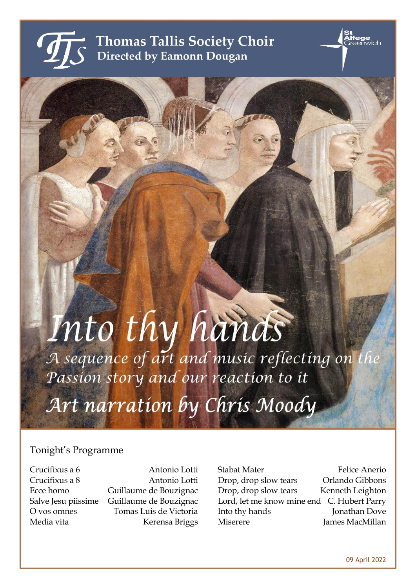

**Thomas Tallis Society Choir** Directed by Eamonn Dougan

# Into thy hands Passion story and our reaction to it

Art narration by Chris Moody

# Tonight's Programme

Crucifixus a 6 Antonio Lotti Crucifixus a 8 Antonio Lotti Ecce homo Guillaume de Bouzignac Salve Jesu piissime Guillaume de Bouzignac O vos omnes Tomas Luis de Victoria Media vita Kerensa Briggs

Stabat Mater Felice Anerio Drop, drop slow tears Orlando Gibbons Drop, drop slow tears Kenneth Leighton Lord, let me know mine end C. Hubert Parry Into thy hands **Jonathan Dove** Miserere James MacMillan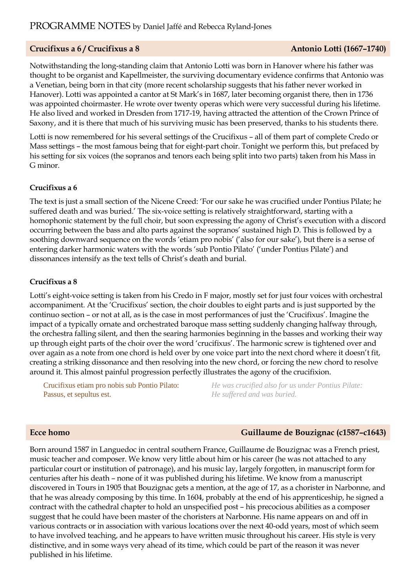## **Crucifixus a 6 / Crucifixus a 8 Antonio Lotti (1667–1740)**

Notwithstanding the long-standing claim that Antonio Lotti was born in Hanover where his father was thought to be organist and Kapellmeister, the surviving documentary evidence confirms that Antonio was a Venetian, being born in that city (more recent scholarship suggests that his father never worked in Hanover). Lotti was appointed a cantor at St Mark's in 1687, later becoming organist there, then in 1736 was appointed choirmaster. He wrote over twenty operas which were very successful during his lifetime. He also lived and worked in Dresden from 1717-19, having attracted the attention of the Crown Prince of Saxony, and it is there that much of his surviving music has been preserved, thanks to his students there.

Lotti is now remembered for his several settings of the Crucifixus – all of them part of complete Credo or Mass settings – the most famous being that for eight-part choir. Tonight we perform this, but prefaced by his setting for six voices (the sopranos and tenors each being split into two parts) taken from his Mass in G minor.

## **Crucifixus a 6**

The text is just a small section of the Nicene Creed: 'For our sake he was crucified under Pontius Pilate; he suffered death and was buried.' The six-voice setting is relatively straightforward, starting with a homophonic statement by the full choir, but soon expressing the agony of Christ's execution with a discord occurring between the bass and alto parts against the sopranos' sustained high D. This is followed by a soothing downward sequence on the words 'etiam pro nobis' ('also for our sake'), but there is a sense of entering darker harmonic waters with the words 'sub Pontio Pilato' ('under Pontius Pilate') and dissonances intensify as the text tells of Christ's death and burial.

#### **Crucifixus a 8**

Lotti's eight-voice setting is taken from his Credo in F major, mostly set for just four voices with orchestral accompaniment. At the 'Crucifixus' section, the choir doubles to eight parts and is just supported by the continuo section – or not at all, as is the case in most performances of just the 'Crucifixus'. Imagine the impact of a typically ornate and orchestrated baroque mass setting suddenly changing halfway through, the orchestra falling silent, and then the searing harmonies beginning in the basses and working their way up through eight parts of the choir over the word 'crucifixus'. The harmonic screw is tightened over and over again as a note from one chord is held over by one voice part into the next chord where it doesn't fit, creating a striking dissonance and then resolving into the new chord, or forcing the new chord to resolve around it. This almost painful progression perfectly illustrates the agony of the crucifixion.

Crucifixus etiam pro nobis sub Pontio Pilato: Passus, et sepultus est.

*He was crucified also for us under Pontius Pilate: He suffered and was buried.*

## **Ecce homo Guillaume de Bouzignac (c1587–c1643)**

Born around 1587 in Languedoc in central southern France, Guillaume de Bouzignac was a French priest, music teacher and composer. We know very little about him or his career (he was not attached to any particular court or institution of patronage), and his music lay, largely forgotten, in manuscript form for centuries after his death – none of it was published during his lifetime. We know from a manuscript discovered in Tours in 1905 that Bouzignac gets a mention, at the age of 17, as a chorister in Narbonne, and that he was already composing by this time. In 1604, probably at the end of his apprenticeship, he signed a contract with the cathedral chapter to hold an unspecified post – his precocious abilities as a composer suggest that he could have been master of the choristers at Narbonne. His name appears on and off in various contracts or in association with various locations over the next 40-odd years, most of which seem to have involved teaching, and he appears to have written music throughout his career. His style is very distinctive, and in some ways very ahead of its time, which could be part of the reason it was never published in his lifetime.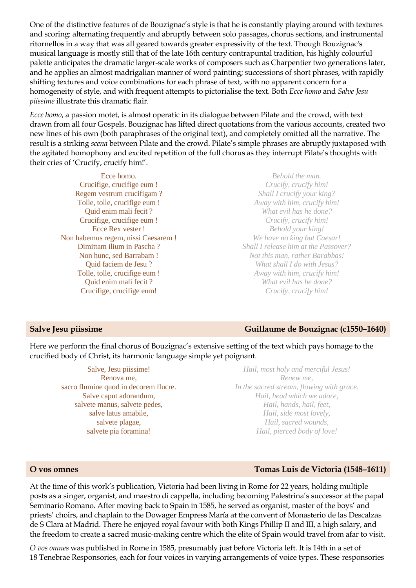One of the distinctive features of de Bouzignac's style is that he is constantly playing around with textures and scoring: alternating frequently and abruptly between solo passages, chorus sections, and instrumental ritornellos in a way that was all geared towards greater expressivity of the text. Though Bouzignac's musical language is mostly still that of the late 16th century contrapuntal tradition, his highly colourful palette anticipates the dramatic larger-scale works of composers such as Charpentier two generations later, and he applies an almost madrigalian manner of word painting; successions of short phrases, with rapidly shifting textures and voice combinations for each phrase of text, with no apparent concern for a homogeneity of style, and with frequent attempts to pictorialise the text. Both *Ecce homo* and *Salve Jesu piissime* illustrate this dramatic flair.

*Ecce homo*, a passion motet, is almost operatic in its dialogue between Pilate and the crowd, with text drawn from all four Gospels. Bouzignac has lifted direct quotations from the various accounts, created two new lines of his own (both paraphrases of the original text), and completely omitted all the narrative. The result is a striking *scena* between Pilate and the crowd. Pilate's simple phrases are abruptly juxtaposed with the agitated homophony and excited repetition of the full chorus as they interrupt Pilate's thoughts with their cries of 'Crucify, crucify him!'.

Ecce homo. Crucifige, crucifige eum ! Regem vestrum crucifigam ? Tolle, tolle, crucifige eum ! Quid enim mali fecit ? Crucifige, crucifige eum ! Ecce Rex vester ! Non habemus regem, nissi Caesarem ! Dimittam ilium in Pascha ? Non hunc, sed Barrabam ! Quid faciem de Jesu ? Tolle, tolle, crucifige eum ! Quid enim mali fecit ? Crucifige, crucifige eum!

*Behold the man. Crucify, crucify him! Shall I crucify your king? Away with him, crucify him! What evil has he done? Crucify, crucify him! Behold your king! We have no king but Caesar! Shall I release him at the Passover? Not this man, rather Barabbas! What shall I do with Jesus? Away with him, crucify him! What evil has he done? Crucify, crucify him!*

## **Salve Jesu piissime Guillaume de Bouzignac (c1550–1640)**

Here we perform the final chorus of Bouzignac's extensive setting of the text which pays homage to the crucified body of Christ, its harmonic language simple yet poignant.

Salve, Jesu piissime! Renova me, sacro flumine quod in decorem flucre. Salve caput adorandum, salvete manus, salvete pedes, salve latus amabile, salvete plagae, salvete pia foramina!

*Hail, most holy and merciful Jesus! Renew me, In the sacred stream, flowing with grace. Hail, head which we adore, Hail, hands, hail, feet, Hail, side most lovely, Hail, sacred wounds, Hail, pierced body of love!*

## **O vos omnes Tomas Luis de Victoria (1548–1611)**

At the time of this work's publication, Victoria had been living in Rome for 22 years, holding multiple posts as a singer, organist, and maestro di cappella, including becoming Palestrina's successor at the papal Seminario Romano. After moving back to Spain in 1585, he served as organist, master of the boys' and priests' choirs, and chaplain to the Dowager Empress María at the convent of Monasterio de las Descalzas de S Clara at Madrid. There he enjoyed royal favour with both Kings Phillip II and III, a high salary, and the freedom to create a sacred music-making centre which the elite of Spain would travel from afar to visit.

*O vos omnes* was published in Rome in 1585, presumably just before Victoria left. It is 14th in a set of 18 Tenebrae Responsories, each for four voices in varying arrangements of voice types. These responsories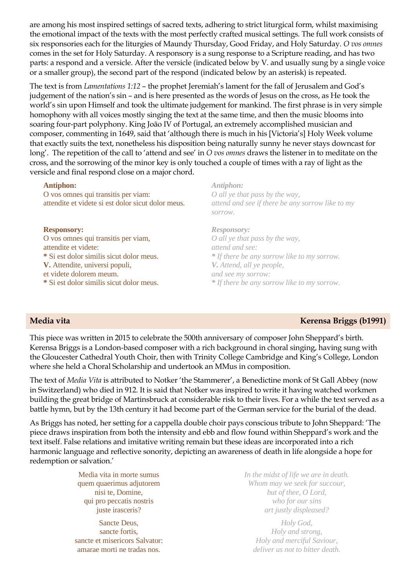are among his most inspired settings of sacred texts, adhering to strict liturgical form, whilst maximising the emotional impact of the texts with the most perfectly crafted musical settings. The full work consists of six responsories each for the liturgies of Maundy Thursday, Good Friday, and Holy Saturday. *O vos omnes* comes in the set for Holy Saturday. A responsory is a sung response to a Scripture reading, and has two parts: a respond and a versicle. After the versicle (indicated below by V. and usually sung by a single voice or a smaller group), the second part of the respond (indicated below by an asterisk) is repeated.

The text is from *Lamentations 1:12* – the prophet Jeremiah's lament for the fall of Jerusalem and God's judgement of the nation's sin – and is here presented as the words of Jesus on the cross, as He took the world's sin upon Himself and took the ultimate judgement for mankind. The first phrase is in very simple homophony with all voices mostly singing the text at the same time, and then the music blooms into soaring four-part polyphony. King João IV of Portugal, an extremely accomplished musician and composer, commenting in 1649, said that 'although there is much in his [Victoria's] Holy Week volume that exactly suits the text, nonetheless his disposition being naturally sunny he never stays downcast for long'. The repetition of the call to 'attend and see' in *O vos omnes* draws the listener in to meditate on the cross, and the sorrowing of the minor key is only touched a couple of times with a ray of light as the versicle and final respond close on a major chord.

#### **Antiphon:**

O vos omnes qui transitis per viam: attendite et videte si est dolor sicut dolor meus.

#### **Responsory:**

O vos omnes qui transitis per viam, attendite et videte: **\*** Si est dolor similis sicut dolor meus. **V.** Attendite, universi populi, et videte dolorem meum. **\*** Si est dolor similis sicut dolor meus.

*Antiphon: O all ye that pass by the way, attend and see if there be any sorrow like to my sorrow.*

*Responsory: O all ye that pass by the way, attend and see: \* If there be any sorrow like to my sorrow. V. Attend, all ye people, and see my sorrow: \* If there be any sorrow like to my sorrow.*

## **Media vita Kerensa Briggs (b1991)**

This piece was written in 2015 to celebrate the 500th anniversary of composer John Sheppard's birth. Kerensa Briggs is a London-based composer with a rich background in choral singing, having sung with the Gloucester Cathedral Youth Choir, then with Trinity College Cambridge and King's College, London where she held a Choral Scholarship and undertook an MMus in composition.

The text of *Media Vita* is attributed to Notker 'the Stammerer', a Benedictine monk of St Gall Abbey (now in Switzerland) who died in 912. It is said that Notker was inspired to write it having watched workmen building the great bridge of Martinsbruck at considerable risk to their lives. For a while the text served as a battle hymn, but by the 13th century it had become part of the German service for the burial of the dead.

As Briggs has noted, her setting for a cappella double choir pays conscious tribute to John Sheppard: 'The piece draws inspiration from both the intensity and ebb and flow found within Sheppard's work and the text itself. False relations and imitative writing remain but these ideas are incorporated into a rich harmonic language and reflective sonority, depicting an awareness of death in life alongside a hope for redemption or salvation.'

> Media vita in morte sumus quem quaerimus adjutorem nisi te, Domine, qui pro peccatis nostris juste irasceris?

Sancte Deus, sancte fortis, sancte et misericors Salvator: amarae morti ne tradas nos.

*In the midst of life we are in death. Whom may we seek for succour, but of thee, O Lord, who for our sins art justly displeased?*

*Holy God, Holy and strong, Holy and merciful Saviour, deliver us not to bitter death.*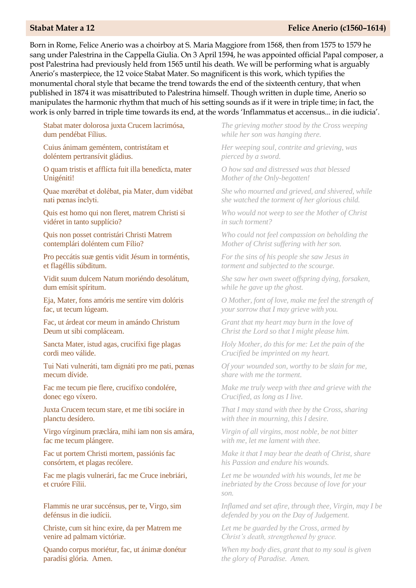#### **Stabat Mater a 12 Felice Anerio (c1560–1614)**

Born in Rome, Felice Anerio was a choirboy at S. Maria Maggiore from 1568, then from 1575 to 1579 he sang under Palestrina in the Cappella Giulia. On 3 April 1594, he was appointed official Papal composer, a post Palestrina had previously held from 1565 until his death. We will be performing what is arguably Anerio's masterpiece, the 12 voice Stabat Mater. So magnificent is this work, which typifies the monumental choral style that became the trend towards the end of the sixteenth century, that when published in 1874 it was misattributed to Palestrina himself. Though written in duple time, Anerio so manipulates the harmonic rhythm that much of his setting sounds as if it were in triple time; in fact, the work is only barred in triple time towards its end, at the words 'Inflammatus et accensus... in die iudicia'.

Stabat mater dolorosa juxta Crucem lacrimósa, dum pendébat Fílius.

Cuius ánimam geméntem, contristátam et doléntem pertransívit gládius.

O quam tristis et afflícta fuit illa benedícta, mater Unigéniti!

Quae mœrébat et dolébat, pia Mater, dum vidébat nati pœnas ínclyti.

Quis est homo qui non fleret, matrem Christi si vidéret in tanto supplício?

Quis non posset contristári Christi Matrem contemplári doléntem cum Fílio?

Pro peccátis suæ gentis vidit Jésum in torméntis, et flagéllis súbditum.

Vidit suum dulcem Natum moriéndo desolátum, dum emísit spíritum.

Eja, Mater, fons amóris me sentíre vim dolóris fac, ut tecum lúgeam.

Fac, ut árdeat cor meum in amándo Christum Deum ut sibi compláceam.

Sancta Mater, istud agas, crucifíxi fige plagas cordi meo válide.

Tui Nati vulneráti, tam dignáti pro me pati, pœnas mecum dívide.

Fac me tecum pie flere, crucifíxo condolére, donec ego víxero.

Juxta Crucem tecum stare, et me tibi sociáre in planctu desídero.

Virgo vírginum præclára, mihi iam non sis amára, fac me tecum plángere.

Fac ut portem Christi mortem, passiónis fac consórtem, et plagas recólere.

Fac me plagis vulnerári, fac me Cruce inebriári, et cruóre Fílii.

Flammis ne urar succénsus, per te, Virgo, sim defénsus in die iudícii.

Christe, cum sit hinc exire, da per Matrem me venire ad palmam victóriæ.

Quando corpus moriétur, fac, ut ánimæ donétur paradísi glória. Amen.

*The grieving mother stood by the Cross weeping while her son was hanging there.* 

*Her weeping soul, contrite and grieving, was pierced by a sword.* 

*O how sad and distressed was that blessed Mother of the Only-begotten!* 

*She who mourned and grieved, and shivered, while she watched the torment of her glorious child.* 

*Who would not weep to see the Mother of Christ in such torment?* 

*Who could not feel compassion on beholding the Mother of Christ suffering with her son.* 

*For the sins of his people she saw Jesus in torment and subjected to the scourge.* 

*She saw her own sweet offspring dying, forsaken, while he gave up the ghost.* 

*O Mother, font of love, make me feel the strength of your sorrow that I may grieve with you.* 

*Grant that my heart may burn in the love of Christ the Lord so that I might please him.* 

*Holy Mother, do this for me: Let the pain of the Crucified be imprinted on my heart.* 

*Of your wounded son, worthy to be slain for me, share with me the torment.* 

*Make me truly weep with thee and grieve with the Crucified, as long as I live.* 

*That I may stand with thee by the Cross, sharing with thee in mourning, this I desire.* 

*Virgin of all virgins, most noble, be not bitter with me, let me lament with thee.* 

*Make it that I may bear the death of Christ, share his Passion and endure his wounds.* 

*Let me be wounded with his wounds, let me be inebriated by the Cross because of love for your son.*

*Inflamed and set afire, through thee, Virgin, may I be defended by you on the Day of Judgement.* 

*Let me be guarded by the Cross, armed by Christ's death, strengthened by grace.* 

*When my body dies, grant that to my soul is given the glory of Paradise. Amen.*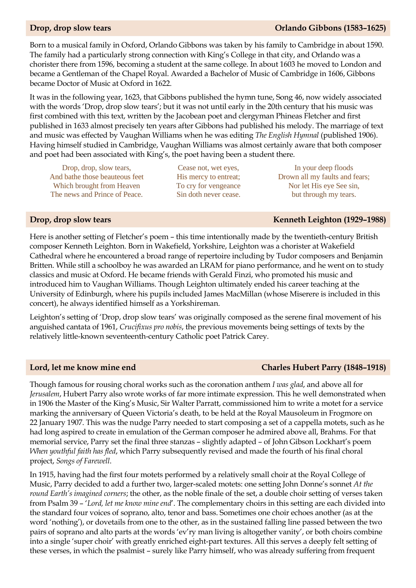## **Drop, drop slow tears Orlando Gibbons (1583–1625)**

Born to a musical family in Oxford, Orlando Gibbons was taken by his family to Cambridge in about 1590. The family had a particularly strong connection with King's College in that city, and Orlando was a chorister there from 1596, becoming a student at the same college. In about 1603 he moved to London and became a Gentleman of the Chapel Royal. Awarded a Bachelor of Music of Cambridge in 1606, Gibbons became Doctor of Music at Oxford in 1622.

It was in the following year, 1623, that Gibbons published the hymn tune, Song 46, now widely associated with the words 'Drop, drop slow tears'; but it was not until early in the 20th century that his music was first combined with this text, written by the Jacobean poet and clergyman Phineas Fletcher and first published in 1633 almost precisely ten years after Gibbons had published his melody. The marriage of text and music was effected by Vaughan Williams when he was editing *The English Hymnal* (published 1906). Having himself studied in Cambridge, Vaughan Williams was almost certainly aware that both composer and poet had been associated with King's, the poet having been a student there.

Drop, drop, slow tears, And bathe those beauteous feet Which brought from Heaven The news and Prince of Peace.

Cease not, wet eyes, His mercy to entreat; To cry for vengeance Sin doth never cease.

In your deep floods Drown all my faults and fears; Nor let His eye See sin, but through my tears.

#### **Drop, drop slow tears Kenneth Leighton (1929–1988)**

Here is another setting of Fletcher's poem – this time intentionally made by the twentieth-century British composer Kenneth Leighton. Born in Wakefield, Yorkshire, Leighton was a chorister at Wakefield Cathedral where he encountered a broad range of repertoire including by Tudor composers and Benjamin Britten. While still a schoolboy he was awarded an LRAM for piano performance, and he went on to study classics and music at Oxford. He became friends with Gerald Finzi, who promoted his music and introduced him to Vaughan Williams. Though Leighton ultimately ended his career teaching at the University of Edinburgh, where his pupils included James MacMillan (whose Miserere is included in this concert), he always identified himself as a Yorkshireman.

Leighton's setting of 'Drop, drop slow tears' was originally composed as the serene final movement of his anguished cantata of 1961, *Crucifixus pro nobis*, the previous movements being settings of texts by the relatively little-known seventeenth-century Catholic poet Patrick Carey.

Though famous for rousing choral works such as the coronation anthem *I was glad*, and above all for *Jerusalem*, Hubert Parry also wrote works of far more intimate expression. This he well demonstrated when in 1906 the Master of the King's Music, Sir Walter Parratt, commissioned him to write a motet for a service marking the anniversary of Queen Victoria's death, to be held at the Royal Mausoleum in Frogmore on 22 January 1907. This was the nudge Parry needed to start composing a set of a cappella motets, such as he had long aspired to create in emulation of the German composer he admired above all, Brahms. For that memorial service, Parry set the final three stanzas – slightly adapted – of John Gibson Lockhart's poem *When youthful faith has fled*, which Parry subsequently revised and made the fourth of his final choral project, *Songs of Farewell*.

In 1915, having had the first four motets performed by a relatively small choir at the Royal College of Music, Parry decided to add a further two, larger-scaled motets: one setting John Donne's sonnet *At the round Earth's imagined corners*; the other, as the noble finale of the set, a double choir setting of verses taken from Psalm 39 – '*Lord, let me know mine end*'. The complementary choirs in this setting are each divided into the standard four voices of soprano, alto, tenor and bass. Sometimes one choir echoes another (as at the word 'nothing'), or dovetails from one to the other, as in the sustained falling line passed between the two pairs of soprano and alto parts at the words 'ev'ry man living is altogether vanity', or both choirs combine into a single 'super choir' with greatly enriched eight-part textures. All this serves a deeply felt setting of these verses, in which the psalmist – surely like Parry himself, who was already suffering from frequent

#### **Lord, let me know mine end Charles Hubert Parry (1848–1918)**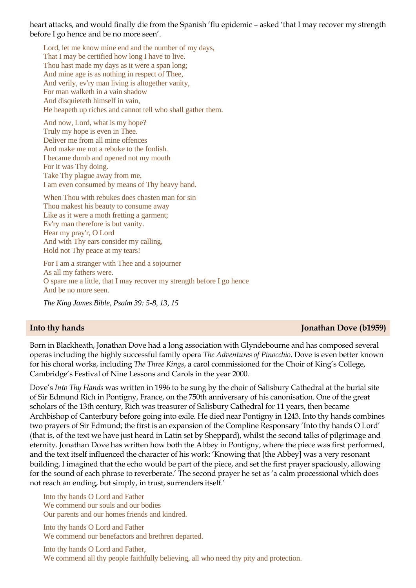heart attacks, and would finally die from the Spanish 'flu epidemic – asked 'that I may recover my strength before I go hence and be no more seen'.

Lord, let me know mine end and the number of my days, That I may be certified how long I have to live. Thou hast made my days as it were a span long; And mine age is as nothing in respect of Thee, And verily, ev'ry man living is altogether vanity, For man walketh in a vain shadow And disquieteth himself in vain, He heapeth up riches and cannot tell who shall gather them.

And now, Lord, what is my hope? Truly my hope is even in Thee. Deliver me from all mine offences And make me not a rebuke to the foolish. I became dumb and opened not my mouth For it was Thy doing. Take Thy plague away from me, I am even consumed by means of Thy heavy hand.

When Thou with rebukes does chasten man for sin Thou makest his beauty to consume away Like as it were a moth fretting a garment; Ev'ry man therefore is but vanity. Hear my pray'r, O Lord And with Thy ears consider my calling, Hold not Thy peace at my tears!

For I am a stranger with Thee and a sojourner As all my fathers were. O spare me a little, that I may recover my strength before I go hence And be no more seen.

*The King James Bible, Psalm 39: 5-8, 13, 15*

#### **Into thy hands Jonathan Dove (b1959)**

Born in Blackheath, Jonathan Dove had a long association with Glyndebourne and has composed several operas including the highly successful family opera *The Adventures of Pinocchio*. Dove is even better known for his choral works, including *The Three Kings*, a carol commissioned for the Choir of King's College, Cambridge's Festival of Nine Lessons and Carols in the year 2000.

Dove's *Into Thy Hands* was written in 1996 to be sung by the choir of Salisbury Cathedral at the burial site of Sir Edmund Rich in Pontigny, France, on the 750th anniversary of his canonisation. One of the great scholars of the 13th century, Rich was treasurer of Salisbury Cathedral for 11 years, then became Archbishop of Canterbury before going into exile. He died near Pontigny in 1243. Into thy hands combines two prayers of Sir Edmund; the first is an expansion of the Compline Responsary 'Into thy hands O Lord' (that is, of the text we have just heard in Latin set by Sheppard), whilst the second talks of pilgrimage and eternity. Jonathan Dove has written how both the Abbey in Pontigny, where the piece was first performed, and the text itself influenced the character of his work: 'Knowing that [the Abbey] was a very resonant building, I imagined that the echo would be part of the piece, and set the first prayer spaciously, allowing for the sound of each phrase to reverberate.' The second prayer he set as 'a calm processional which does not reach an ending, but simply, in trust, surrenders itself.'

Into thy hands O Lord and Father We commend our souls and our bodies Our parents and our homes friends and kindred.

Into thy hands O Lord and Father We commend our benefactors and brethren departed.

Into thy hands O Lord and Father, We commend all thy people faithfully believing, all who need thy pity and protection.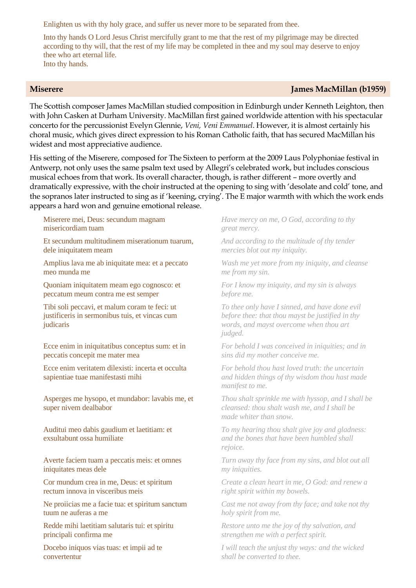Enlighten us with thy holy grace, and suffer us never more to be separated from thee.

Into thy hands O Lord Jesus Christ mercifully grant to me that the rest of my pilgrimage may be directed according to thy will, that the rest of my life may be completed in thee and my soul may deserve to enjoy thee who art eternal life. Into thy hands.

## **Miserere James MacMillan (b1959)**

The Scottish composer James MacMillan studied composition in Edinburgh under Kenneth Leighton, then with John Casken at Durham University. MacMillan first gained worldwide attention with his spectacular concerto for the percussionist Evelyn Glennie, *Veni, Veni Emmanuel*. However, it is almost certainly his choral music, which gives direct expression to his Roman Catholic faith, that has secured MacMillan his widest and most appreciative audience.

His setting of the Miserere, composed for The Sixteen to perform at the 2009 Laus Polyphoniae festival in Antwerp, not only uses the same psalm text used by Allegri's celebrated work, but includes conscious musical echoes from that work. Its overall character, though, is rather different – more overtly and dramatically expressive, with the choir instructed at the opening to sing with 'desolate and cold' tone, and the sopranos later instructed to sing as if 'keening, crying'. The E major warmth with which the work ends appears a hard won and genuine emotional release.

Miserere mei, Deus: secundum magnam misericordiam tuam

Et secundum multitudinem miserationum tuarum, dele iniquitatem meam

Amplius lava me ab iniquitate mea: et a peccato meo munda me

Quoniam iniquitatem meam ego cognosco: et peccatum meum contra me est semper

Tibi soli peccavi, et malum coram te feci: ut justificeris in sermonibus tuis, et vincas cum judicaris

Ecce enim in iniquitatibus conceptus sum: et in peccatis concepit me mater mea

Ecce enim veritatem dilexisti: incerta et occulta sapientiae tuae manifestasti mihi

Asperges me hysopo, et mundabor: lavabis me, et super nivem dealbabor

Auditui meo dabis gaudium et laetitiam: et exsultabunt ossa humiliate

Averte faciem tuam a peccatis meis: et omnes iniquitates meas dele

Cor mundum crea in me, Deus: et spiritum rectum innova in visceribus meis

Ne proiicias me a facie tua: et spiritum sanctum tuum ne auferas a me

Redde mihi laetitiam salutaris tui: et spiritu principali confirma me

Docebo iniquos vias tuas: et impii ad te convertentur

*Have mercy on me, O God, according to thy great mercy.*

*And according to the multitude of thy tender mercies blot out my iniquity.*

*Wash me yet more from my iniquity, and cleanse me from my sin.*

*For I know my iniquity, and my sin is always before me.*

*To thee only have I sinned, and have done evil before thee: that thou mayst be justified in thy words, and mayst overcome when thou art judged.*

*For behold I was conceived in iniquities; and in sins did my mother conceive me.*

*For behold thou hast loved truth: the uncertain and hidden things of thy wisdom thou hast made manifest to me.*

*Thou shalt sprinkle me with hyssop, and I shall be cleansed: thou shalt wash me, and I shall be made whiter than snow.*

*To my hearing thou shalt give joy and gladness: and the bones that have been humbled shall rejoice.*

*Turn away thy face from my sins, and blot out all my iniquities.*

*Create a clean heart in me, O God: and renew a right spirit within my bowels.*

*Cast me not away from thy face; and take not thy holy spirit from me.*

*Restore unto me the joy of thy salvation, and strengthen me with a perfect spirit.*

*I will teach the unjust thy ways: and the wicked shall be converted to thee.*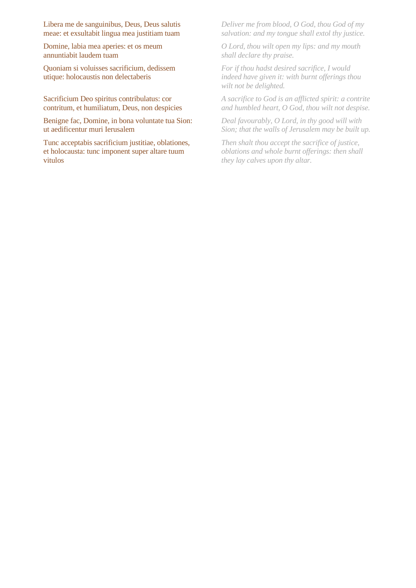Libera me de sanguinibus, Deus, Deus salutis meae: et exsultabit lingua mea justitiam tuam

Domine, labia mea aperies: et os meum annuntiabit laudem tuam

Quoniam si voluisses sacrificium, dedissem utique: holocaustis non delectaberis

Sacrificium Deo spiritus contribulatus: cor contritum, et humiliatum, Deus, non despicies

Benigne fac, Domine, in bona voluntate tua Sion: ut aedificentur muri Ierusalem

Tunc acceptabis sacrificium justitiae, oblationes, et holocausta: tunc imponent super altare tuum vitulos

*Deliver me from blood, O God, thou God of my salvation: and my tongue shall extol thy justice.*

*O Lord, thou wilt open my lips: and my mouth shall declare thy praise.*

*For if thou hadst desired sacrifice, I would indeed have given it: with burnt offerings thou wilt not be delighted.*

*A sacrifice to God is an afflicted spirit: a contrite and humbled heart, O God, thou wilt not despise.*

*Deal favourably, O Lord, in thy good will with Sion; that the walls of Jerusalem may be built up.*

*Then shalt thou accept the sacrifice of justice, oblations and whole burnt offerings: then shall they lay calves upon thy altar.*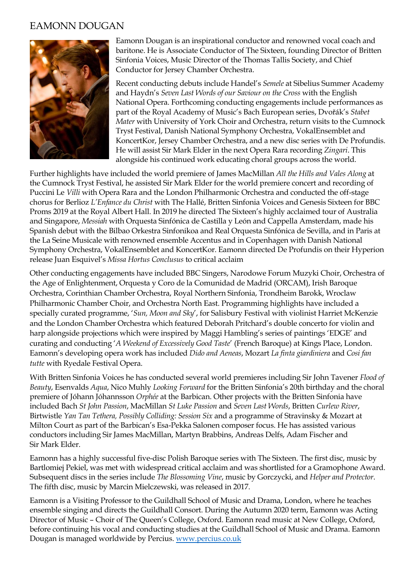## EAMONN DOUGAN



Eamonn Dougan is an inspirational conductor and renowned vocal coach and baritone. He is Associate Conductor of The Sixteen, founding Director of Britten Sinfonia Voices, Music Director of the Thomas Tallis Society, and Chief Conductor for Jersey Chamber Orchestra.

Recent conducting debuts include Handel's *Semele* at Sibelius Summer Academy and Haydn's *Seven Last Words of our Saviour on the Cross* with the English National Opera. Forthcoming conducting engagements include performances as part of the Royal Academy of Music's Bach European series, Dvořák's *Stabet Mater* with University of York Choir and Orchestra, return visits to the Cumnock Tryst Festival, Danish National Symphony Orchestra, VokalEnsemblet and KoncertKor, Jersey Chamber Orchestra, and a new disc series with De Profundis. He will assist Sir Mark Elder in the next Opera Rara recording *Zingari*. This alongside his continued work educating choral groups across the world.

Further highlights have included the world premiere of James MacMillan *All the Hills and Vales Along* at the Cumnock Tryst Festival, he assisted Sir Mark Elder for the world premiere concert and recording of Puccini Le *Villi* with Opera Rara and the London Philharmonic Orchestra and conducted the off-stage chorus for Berlioz *L'Enfance du Christ* with The Hallé, Britten Sinfonia Voices and Genesis Sixteen for BBC Proms 2019 at the Royal Albert Hall. In 2019 he directed The Sixteen's highly acclaimed tour of Australia and Singapore, *Messiah* with Orquesta Sinfónica de Castilla y León and Cappella Amsterdam, made his Spanish debut with the Bilbao Orkestra Sinfonikoa and Real Orquesta Sinfónica de Sevilla, and in Paris at the La Seine Musicale with renowned ensemble Accentus and in Copenhagen with Danish National Symphony Orchestra, VokalEnsemblet and KoncertKor. Eamonn directed De Profundis on their Hyperion release Juan Esquivel's *Missa Hortus Conclusus* to critical acclaim

Other conducting engagements have included BBC Singers, Narodowe Forum Muzyki Choir, Orchestra of the Age of Enlightenment, Orquesta y Coro de la Comunidad de Madrid (ORCAM), Irish Baroque Orchestra, Corinthian Chamber Orchestra, Royal Northern Sinfonia, Trondheim Barokk, Wroclaw Philharmonic Chamber Choir, and Orchestra North East. Programming highlights have included a specially curated programme, '*Sun, Moon and Sky*', for Salisbury Festival with violinist Harriet McKenzie and the London Chamber Orchestra which featured Deborah Pritchard's double concerto for violin and harp alongside projections which were inspired by Maggi Hambling's series of paintings 'EDGE' and curating and conducting '*A Weekend of Excessively Good Taste*' (French Baroque) at Kings Place, London. Eamonn's developing opera work has included *Dido and Aeneas*, Mozart *La finta giardiniera* and *Cosi fan tutte* with Ryedale Festival Opera.

With Britten Sinfonia Voices he has conducted several world premieres including Sir John Tavener *Flood of Beauty*, Esenvalds *Aqua*, Nico Muhly *Looking Forward* for the Britten Sinfonia's 20th birthday and the choral premiere of Jóhann Jóhannsson *Orphée* at the Barbican. Other projects with the Britten Sinfonia have included Bach *St John Passion*, MacMillan *St Luke Passion* and *Seven Last Words*, Britten *Curlew River*, Birtwistle *Yan Tan Tethera, Possibly Colliding: Session Six* and a programme of Stravinsky & Mozart at Milton Court as part of the Barbican's Esa-Pekka Salonen composer focus. He has assisted various conductors including Sir James MacMillan, Martyn Brabbins, Andreas Delfs, Adam Fischer and Sir Mark Elder.

Eamonn has a highly successful five-disc Polish Baroque series with The Sixteen. The first disc, music by Bartlomiej Pekiel, was met with widespread critical acclaim and was shortlisted for a Gramophone Award. Subsequent discs in the series include *The Blossoming Vine*, music by Gorczycki, and *Helper and Protector*. The fifth disc, music by Marcin Mielczewski, was released in 2017.

Eamonn is a Visiting Professor to the Guildhall School of Music and Drama, London, where he teaches ensemble singing and directs the Guildhall Consort. During the Autumn 2020 term, Eamonn was Acting Director of Music – Choir of The Queen's College, Oxford. Eamonn read music at New College, Oxford, before continuing his vocal and conducting studies at the Guildhall School of Music and Drama. Eamonn Dougan is managed worldwide by Percius[. www.percius.co.uk](http://www.percius.co.uk/)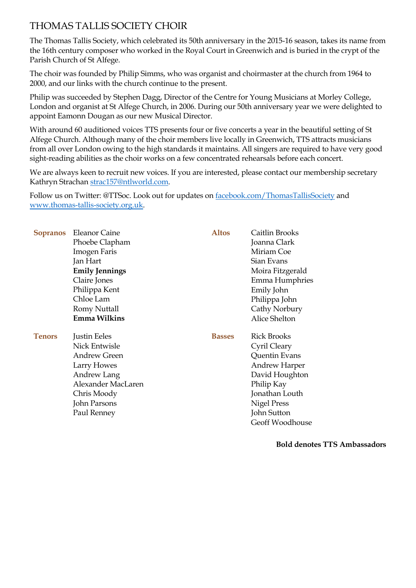# THOMAS TALLIS SOCIETY CHOIR

The Thomas Tallis Society, which celebrated its 50th anniversary in the 2015-16 season, takes its name from the 16th century composer who worked in the Royal Court in Greenwich and is buried in the crypt of the Parish Church of St Alfege.

The choir was founded by Philip Simms, who was organist and choirmaster at the church from 1964 to 2000, and our links with the church continue to the present.

Philip was succeeded by Stephen Dagg, Director of the Centre for Young Musicians at Morley College, London and organist at St Alfege Church, in 2006. During our 50th anniversary year we were delighted to appoint Eamonn Dougan as our new Musical Director.

With around 60 auditioned voices TTS presents four or five concerts a year in the beautiful setting of St Alfege Church. Although many of the choir members live locally in Greenwich, TTS attracts musicians from all over London owing to the high standards it maintains. All singers are required to have very good sight-reading abilities as the choir works on a few concentrated rehearsals before each concert.

We are always keen to recruit new voices. If you are interested, please contact our membership secretary Kathryn Strachan strac157@ntlworld.com.

Follow us on Twitter: @TTSoc. Look out for updates on facebook.com/ThomasTallisSociety and [www.thomas-tallis-society.org.uk.](http://www.thomas-tallis-society.org.uk/)

| <b>Sopranos</b> | <b>Eleanor Caine</b>  | <b>Altos</b>  | Caitlin Brooks       |
|-----------------|-----------------------|---------------|----------------------|
|                 | Phoebe Clapham        |               | Joanna Clark         |
|                 | <b>Imogen Faris</b>   |               | Miriam Coe           |
|                 | Jan Hart              |               | Sian Evans           |
|                 | <b>Emily Jennings</b> |               | Moira Fitzgerald     |
|                 | Claire Jones          |               | Emma Humphries       |
|                 | Philippa Kent         |               | Emily John           |
|                 | Chloe Lam             |               | Philippa John        |
|                 | <b>Romy Nuttall</b>   |               | Cathy Norbury        |
|                 | Emma Wilkins          |               | Alice Shelton        |
| <b>Tenors</b>   | Justin Eeles          | <b>Basses</b> | <b>Rick Brooks</b>   |
|                 | Nick Entwisle         |               | Cyril Cleary         |
|                 | <b>Andrew Green</b>   |               | Quentin Evans        |
|                 | Larry Howes           |               | <b>Andrew Harper</b> |
|                 | Andrew Lang           |               | David Houghton       |
|                 | Alexander MacLaren    |               | Philip Kay           |
|                 | Chris Moody           |               | Jonathan Louth       |
|                 | <b>John Parsons</b>   |               | <b>Nigel Press</b>   |
|                 | Paul Renney           |               | John Sutton          |
|                 |                       |               | Geoff Woodhouse      |
|                 |                       |               |                      |

**Bold denotes TTS Ambassadors**